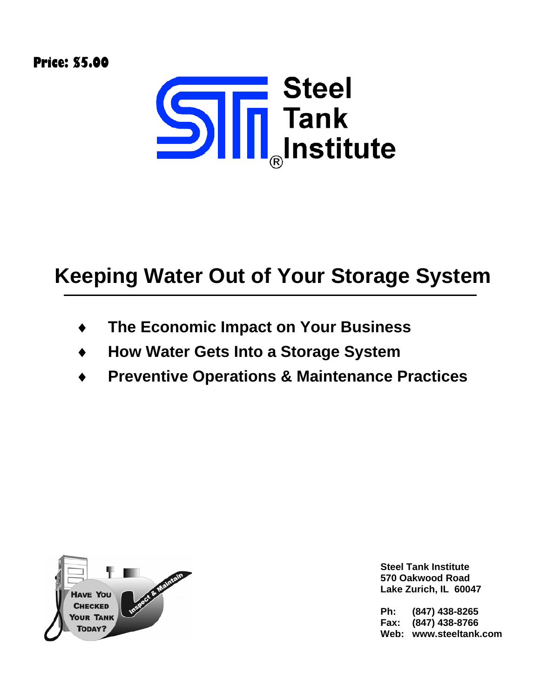**Price: \$5.00** 



# **Keeping Water Out of Your Storage System**

- ♦ **The Economic Impact on Your Business**
- ♦ **How Water Gets Into a Storage System**
- **Preventive Operations & Maintenance Practices**



**Steel Tank Institute 570 Oakwood Road Lake Zurich, IL 60047** 

**Ph: (847) 438-8265 Fax: (847) 438-8766 Web: www.steeltank.com**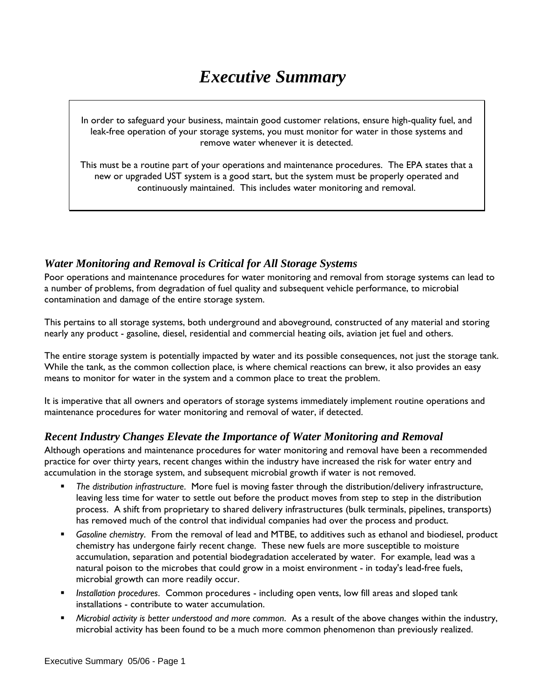# *Executive Summary*

In order to safeguard your business, maintain good customer relations, ensure high-quality fuel, and leak-free operation of your storage systems, you must monitor for water in those systems and remove water whenever it is detected.

This must be a routine part of your operations and maintenance procedures. The EPA states that a new or upgraded UST system is a good start, but the system must be properly operated and continuously maintained. This includes water monitoring and removal.

#### *Water Monitoring and Removal is Critical for All Storage Systems*

Poor operations and maintenance procedures for water monitoring and removal from storage systems can lead to a number of problems, from degradation of fuel quality and subsequent vehicle performance, to microbial contamination and damage of the entire storage system.

This pertains to all storage systems, both underground and aboveground, constructed of any material and storing nearly any product - gasoline, diesel, residential and commercial heating oils, aviation jet fuel and others.

The entire storage system is potentially impacted by water and its possible consequences, not just the storage tank. While the tank, as the common collection place, is where chemical reactions can brew, it also provides an easy means to monitor for water in the system and a common place to treat the problem.

It is imperative that all owners and operators of storage systems immediately implement routine operations and maintenance procedures for water monitoring and removal of water, if detected.

#### *Recent Industry Changes Elevate the Importance of Water Monitoring and Removal*

Although operations and maintenance procedures for water monitoring and removal have been a recommended practice for over thirty years, recent changes within the industry have increased the risk for water entry and accumulation in the storage system, and subsequent microbial growth if water is not removed.

- *The distribution infrastructure*. More fuel is moving faster through the distribution/delivery infrastructure, leaving less time for water to settle out before the product moves from step to step in the distribution process. A shift from proprietary to shared delivery infrastructures (bulk terminals, pipelines, transports) has removed much of the control that individual companies had over the process and product.
- *Gasoline chemistry*. From the removal of lead and MTBE, to additives such as ethanol and biodiesel, product chemistry has undergone fairly recent change. These new fuels are more susceptible to moisture accumulation, separation and potential biodegradation accelerated by water. For example, lead was a natural poison to the microbes that could grow in a moist environment - in today's lead-free fuels, microbial growth can more readily occur.
- *Installation procedures*. Common procedures including open vents, low fill areas and sloped tank installations - contribute to water accumulation.
- *Microbial activity is better understood and more common*. As a result of the above changes within the industry, microbial activity has been found to be a much more common phenomenon than previously realized.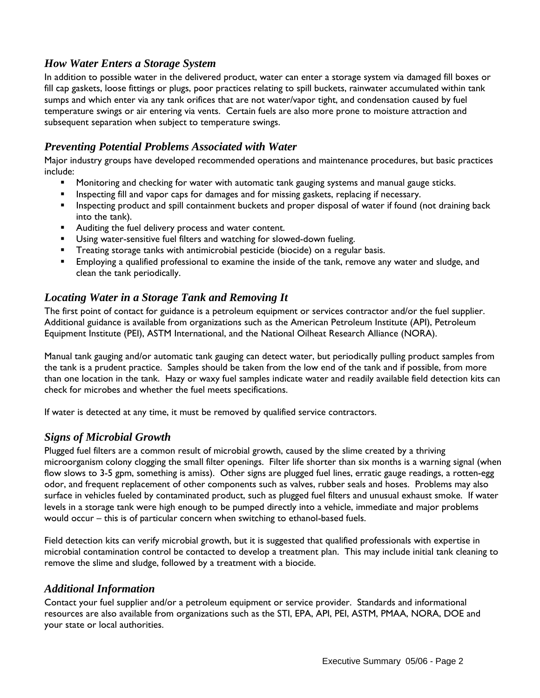#### *How Water Enters a Storage System*

In addition to possible water in the delivered product, water can enter a storage system via damaged fill boxes or fill cap gaskets, loose fittings or plugs, poor practices relating to spill buckets, rainwater accumulated within tank sumps and which enter via any tank orifices that are not water/vapor tight, and condensation caused by fuel temperature swings or air entering via vents. Certain fuels are also more prone to moisture attraction and subsequent separation when subject to temperature swings.

#### *Preventing Potential Problems Associated with Water*

Major industry groups have developed recommended operations and maintenance procedures, but basic practices include:

- **Monitoring and checking for water with automatic tank gauging systems and manual gauge sticks.**
- **Inspecting fill and vapor caps for damages and for missing gaskets, replacing if necessary.**
- **Inspecting product and spill containment buckets and proper disposal of water if found (not draining back** into the tank).
- Auditing the fuel delivery process and water content.
- **Using water-sensitive fuel filters and watching for slowed-down fueling.**
- **Treating storage tanks with antimicrobial pesticide (biocide) on a regular basis.**
- Employing a qualified professional to examine the inside of the tank, remove any water and sludge, and clean the tank periodically.

#### *Locating Water in a Storage Tank and Removing It*

The first point of contact for guidance is a petroleum equipment or services contractor and/or the fuel supplier. Additional guidance is available from organizations such as the American Petroleum Institute (API), Petroleum Equipment Institute (PEI), ASTM International, and the National Oilheat Research Alliance (NORA).

Manual tank gauging and/or automatic tank gauging can detect water, but periodically pulling product samples from the tank is a prudent practice. Samples should be taken from the low end of the tank and if possible, from more than one location in the tank. Hazy or waxy fuel samples indicate water and readily available field detection kits can check for microbes and whether the fuel meets specifications.

If water is detected at any time, it must be removed by qualified service contractors.

#### *Signs of Microbial Growth*

Plugged fuel filters are a common result of microbial growth, caused by the slime created by a thriving microorganism colony clogging the small filter openings. Filter life shorter than six months is a warning signal (when flow slows to 3-5 gpm, something is amiss). Other signs are plugged fuel lines, erratic gauge readings, a rotten-egg odor, and frequent replacement of other components such as valves, rubber seals and hoses. Problems may also surface in vehicles fueled by contaminated product, such as plugged fuel filters and unusual exhaust smoke. If water levels in a storage tank were high enough to be pumped directly into a vehicle, immediate and major problems would occur – this is of particular concern when switching to ethanol-based fuels.

Field detection kits can verify microbial growth, but it is suggested that qualified professionals with expertise in microbial contamination control be contacted to develop a treatment plan. This may include initial tank cleaning to remove the slime and sludge, followed by a treatment with a biocide.

#### *Additional Information*

Contact your fuel supplier and/or a petroleum equipment or service provider. Standards and informational resources are also available from organizations such as the STI, EPA, API, PEI, ASTM, PMAA, NORA, DOE and your state or local authorities.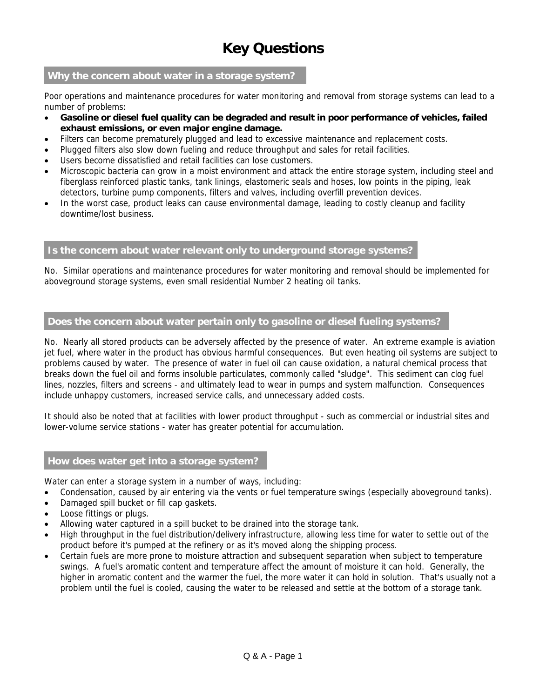## **Key Questions**

#### **Why the concern about water in a storage system?**

Poor operations and maintenance procedures for water monitoring and removal from storage systems can lead to a number of problems:

- **Gasoline or diesel fuel quality can be degraded and result in poor performance of vehicles, failed exhaust emissions, or even major engine damage.**
- Filters can become prematurely plugged and lead to excessive maintenance and replacement costs.
- Plugged filters also slow down fueling and reduce throughput and sales for retail facilities.
- Users become dissatisfied and retail facilities can lose customers.
- Microscopic bacteria can grow in a moist environment and attack the entire storage system, including steel and fiberglass reinforced plastic tanks, tank linings, elastomeric seals and hoses, low points in the piping, leak detectors, turbine pump components, filters and valves, including overfill prevention devices.
- In the worst case, product leaks can cause environmental damage, leading to costly cleanup and facility downtime/lost business.

#### **Is the concern about water relevant only to underground storage systems?**

No. Similar operations and maintenance procedures for water monitoring and removal should be implemented for aboveground storage systems, even small residential Number 2 heating oil tanks.

#### **Does the concern about water pertain only to gasoline or diesel fueling systems?**

No. Nearly all stored products can be adversely affected by the presence of water. An extreme example is aviation jet fuel, where water in the product has obvious harmful consequences. But even heating oil systems are subject to problems caused by water. The presence of water in fuel oil can cause oxidation, a natural chemical process that breaks down the fuel oil and forms insoluble particulates, commonly called "sludge". This sediment can clog fuel lines, nozzles, filters and screens - and ultimately lead to wear in pumps and system malfunction. Consequences include unhappy customers, increased service calls, and unnecessary added costs.

It should also be noted that at facilities with lower product throughput - such as commercial or industrial sites and lower-volume service stations - water has greater potential for accumulation.

#### **How does water get into a storage system?**

Water can enter a storage system in a number of ways, including:

- Condensation, caused by air entering via the vents or fuel temperature swings (especially aboveground tanks).
- Damaged spill bucket or fill cap gaskets.
- Loose fittings or plugs.
- Allowing water captured in a spill bucket to be drained into the storage tank.
- High throughput in the fuel distribution/delivery infrastructure, allowing less time for water to settle out of the product before it's pumped at the refinery or as it's moved along the shipping process.
- Certain fuels are more prone to moisture attraction and subsequent separation when subject to temperature swings. A fuel's aromatic content and temperature affect the amount of moisture it can hold. Generally, the higher in aromatic content and the warmer the fuel, the more water it can hold in solution. That's usually not a problem until the fuel is cooled, causing the water to be released and settle at the bottom of a storage tank.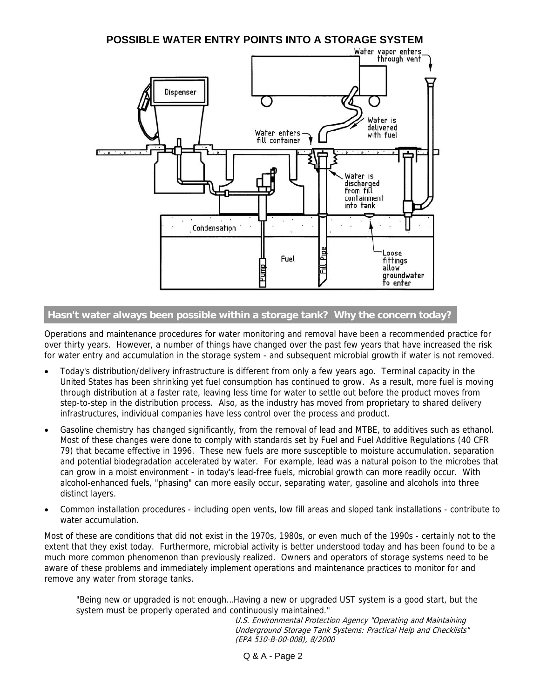

#### **Hasn't water always been possible within a storage tank? Why the concern today?**

Operations and maintenance procedures for water monitoring and removal have been a recommended practice for over thirty years. However, a number of things have changed over the past few years that have increased the risk for water entry and accumulation in the storage system - and subsequent microbial growth if water is not removed.

- Today's distribution/delivery infrastructure is different from only a few years ago. Terminal capacity in the United States has been shrinking yet fuel consumption has continued to grow. As a result, more fuel is moving through distribution at a faster rate, leaving less time for water to settle out before the product moves from step-to-step in the distribution process. Also, as the industry has moved from proprietary to shared delivery infrastructures, individual companies have less control over the process and product.
- Gasoline chemistry has changed significantly, from the removal of lead and MTBE, to additives such as ethanol. Most of these changes were done to comply with standards set by Fuel and Fuel Additive Regulations (40 CFR 79) that became effective in 1996. These new fuels are more susceptible to moisture accumulation, separation and potential biodegradation accelerated by water. For example, lead was a natural poison to the microbes that can grow in a moist environment - in today's lead-free fuels, microbial growth can more readily occur. With alcohol-enhanced fuels, "phasing" can more easily occur, separating water, gasoline and alcohols into three distinct layers.
- Common installation procedures including open vents, low fill areas and sloped tank installations contribute to water accumulation.

Most of these are conditions that did not exist in the 1970s, 1980s, or even much of the 1990s - certainly not to the extent that they exist today. Furthermore, microbial activity is better understood today and has been found to be a much more common phenomenon than previously realized. Owners and operators of storage systems need to be aware of these problems and immediately implement operations and maintenance practices to monitor for and remove any water from storage tanks.

"Being new or upgraded is not enough…Having a new or upgraded UST system is a good start, but the system must be properly operated and continuously maintained."

 U.S. Environmental Protection Agency "Operating and Maintaining Underground Storage Tank Systems: Practical Help and Checklists" (EPA 510-B-00-008), 8/2000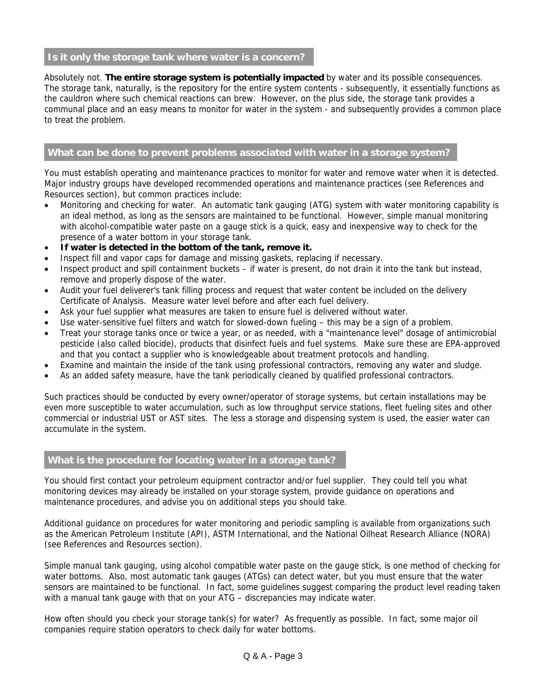#### **Is it only the storage tank where water is a concern?**

Absolutely not. **The entire storage system is potentially impacted** by water and its possible consequences. The storage tank, naturally, is the repository for the entire system contents - subsequently, it essentially functions as the cauldron where such chemical reactions can brew. However, on the plus side, the storage tank provides a communal place and an easy means to monitor for water in the system - and subsequently provides a common place to treat the problem.

#### **What can be done to prevent problems associated with water in a storage system?**

You must establish operating and maintenance practices to monitor for water and remove water when it is detected. Major industry groups have developed recommended operations and maintenance practices (see References and Resources section), but common practices include:

- Monitoring and checking for water. An automatic tank gauging (ATG) system with water monitoring capability is an ideal method, as long as the sensors are maintained to be functional. However, simple manual monitoring with alcohol-compatible water paste on a gauge stick is a quick, easy and inexpensive way to check for the presence of a water bottom in your storage tank.
- **If water is detected in the bottom of the tank, remove it.**
- Inspect fill and vapor caps for damage and missing gaskets, replacing if necessary.
- Inspect product and spill containment buckets if water is present, do not drain it into the tank but instead, remove and properly dispose of the water.
- Audit your fuel deliverer's tank filling process and request that water content be included on the delivery Certificate of Analysis. Measure water level before and after each fuel delivery.
- Ask your fuel supplier what measures are taken to ensure fuel is delivered without water.
- Use water-sensitive fuel filters and watch for slowed-down fueling this may be a sign of a problem.
- Treat your storage tanks once or twice a year, or as needed, with a "maintenance level" dosage of antimicrobial pesticide (also called biocide), products that disinfect fuels and fuel systems. Make sure these are EPA-approved and that you contact a supplier who is knowledgeable about treatment protocols and handling.
- Examine and maintain the inside of the tank using professional contractors, removing any water and sludge.
- As an added safety measure, have the tank periodically cleaned by qualified professional contractors.

Such practices should be conducted by every owner/operator of storage systems, but certain installations may be even more susceptible to water accumulation, such as low throughput service stations, fleet fueling sites and other commercial or industrial UST or AST sites. The less a storage and dispensing system is used, the easier water can accumulate in the system.

#### **What is the procedure for locating water in a storage tank?**

You should first contact your petroleum equipment contractor and/or fuel supplier. They could tell you what monitoring devices may already be installed on your storage system, provide guidance on operations and maintenance procedures, and advise you on additional steps you should take.

Additional guidance on procedures for water monitoring and periodic sampling is available from organizations such as the American Petroleum Institute (API), ASTM International, and the National Oilheat Research Alliance (NORA) (see References and Resources section).

Simple manual tank gauging, using alcohol compatible water paste on the gauge stick, is one method of checking for water bottoms. Also, most automatic tank gauges (ATGs) can detect water, but you must ensure that the water sensors are maintained to be functional. In fact, some guidelines suggest comparing the product level reading taken with a manual tank gauge with that on your ATG – discrepancies may indicate water.

How often should you check your storage tank(s) for water? As frequently as possible. In fact, some major oil companies require station operators to check daily for water bottoms.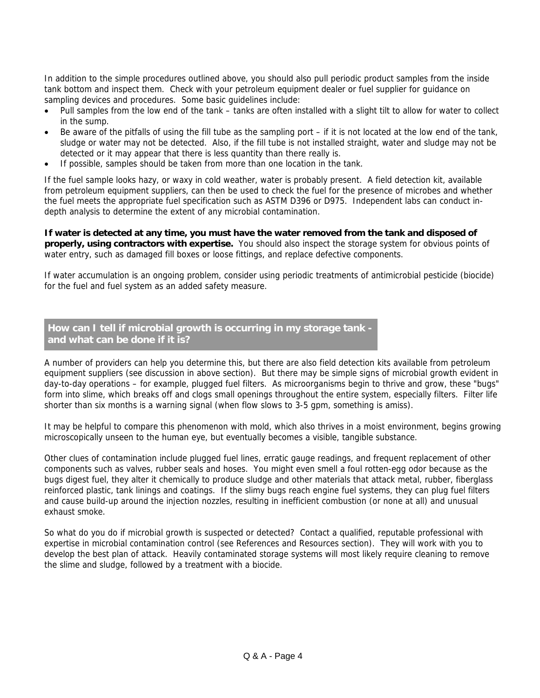In addition to the simple procedures outlined above, you should also pull periodic product samples from the inside tank bottom and inspect them. Check with your petroleum equipment dealer or fuel supplier for guidance on sampling devices and procedures. Some basic guidelines include:

- Pull samples from the low end of the tank tanks are often installed with a slight tilt to allow for water to collect in the sump.
- Be aware of the pitfalls of using the fill tube as the sampling port if it is not located at the low end of the tank, sludge or water may not be detected. Also, if the fill tube is not installed straight, water and sludge may not be detected or it may appear that there is less quantity than there really is.
- If possible, samples should be taken from more than one location in the tank.

If the fuel sample looks hazy, or waxy in cold weather, water is probably present. A field detection kit, available from petroleum equipment suppliers, can then be used to check the fuel for the presence of microbes and whether the fuel meets the appropriate fuel specification such as ASTM D396 or D975. Independent labs can conduct indepth analysis to determine the extent of any microbial contamination.

**If water is detected at any time, you must have the water removed from the tank and disposed of properly, using contractors with expertise.** You should also inspect the storage system for obvious points of water entry, such as damaged fill boxes or loose fittings, and replace defective components.

If water accumulation is an ongoing problem, consider using periodic treatments of antimicrobial pesticide (biocide) for the fuel and fuel system as an added safety measure.

#### **How can I tell if microbial growth is occurring in my storage tank and what can be done if it is?**

A number of providers can help you determine this, but there are also field detection kits available from petroleum equipment suppliers (see discussion in above section). But there may be simple signs of microbial growth evident in day-to-day operations – for example, plugged fuel filters. As microorganisms begin to thrive and grow, these "bugs" form into slime, which breaks off and clogs small openings throughout the entire system, especially filters. Filter life shorter than six months is a warning signal (when flow slows to 3-5 gpm, something is amiss).

It may be helpful to compare this phenomenon with mold, which also thrives in a moist environment, begins growing microscopically unseen to the human eye, but eventually becomes a visible, tangible substance.

Other clues of contamination include plugged fuel lines, erratic gauge readings, and frequent replacement of other components such as valves, rubber seals and hoses. You might even smell a foul rotten-egg odor because as the bugs digest fuel, they alter it chemically to produce sludge and other materials that attack metal, rubber, fiberglass reinforced plastic, tank linings and coatings. If the slimy bugs reach engine fuel systems, they can plug fuel filters and cause build-up around the injection nozzles, resulting in inefficient combustion (or none at all) and unusual exhaust smoke.

So what do you do if microbial growth is suspected or detected? Contact a qualified, reputable professional with expertise in microbial contamination control (see References and Resources section). They will work with you to develop the best plan of attack. Heavily contaminated storage systems will most likely require cleaning to remove the slime and sludge, followed by a treatment with a biocide.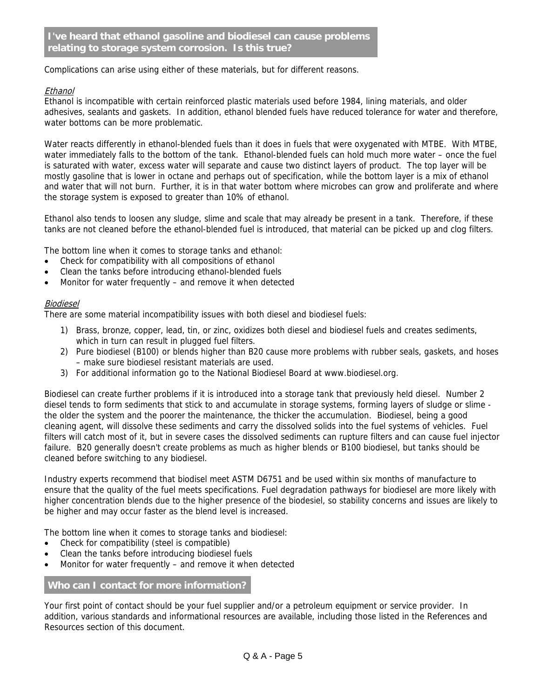Complications can arise using either of these materials, but for different reasons.

#### **Ethanol**

Ethanol is incompatible with certain reinforced plastic materials used before 1984, lining materials, and older adhesives, sealants and gaskets. In addition, ethanol blended fuels have reduced tolerance for water and therefore, water bottoms can be more problematic.

Water reacts differently in ethanol-blended fuels than it does in fuels that were oxygenated with MTBE. With MTBE, water immediately falls to the bottom of the tank. Ethanol-blended fuels can hold much more water – once the fuel is saturated with water, excess water will separate and cause two distinct layers of product. The top layer will be mostly gasoline that is lower in octane and perhaps out of specification, while the bottom layer is a mix of ethanol and water that will not burn. Further, it is in that water bottom where microbes can grow and proliferate and where the storage system is exposed to greater than 10% of ethanol.

Ethanol also tends to loosen any sludge, slime and scale that may already be present in a tank. Therefore, if these tanks are not cleaned before the ethanol-blended fuel is introduced, that material can be picked up and clog filters.

The bottom line when it comes to storage tanks and ethanol:

- Check for compatibility with all compositions of ethanol
- Clean the tanks before introducing ethanol-blended fuels
- Monitor for water frequently and remove it when detected

#### Biodiesel

There are some material incompatibility issues with both diesel and biodiesel fuels:

- 1) Brass, bronze, copper, lead, tin, or zinc, oxidizes both diesel and biodiesel fuels and creates sediments, which in turn can result in plugged fuel filters.
- 2) Pure biodiesel (B100) or blends higher than B20 cause more problems with rubber seals, gaskets, and hoses – make sure biodiesel resistant materials are used.
- 3) For additional information go to the National Biodiesel Board at www.biodiesel.org.

Biodiesel can create further problems if it is introduced into a storage tank that previously held diesel. Number 2 diesel tends to form sediments that stick to and accumulate in storage systems, forming layers of sludge or slime the older the system and the poorer the maintenance, the thicker the accumulation. Biodiesel, being a good cleaning agent, will dissolve these sediments and carry the dissolved solids into the fuel systems of vehicles. Fuel filters will catch most of it, but in severe cases the dissolved sediments can rupture filters and can cause fuel injector failure. B20 generally doesn't create problems as much as higher blends or B100 biodiesel, but tanks should be cleaned before switching to any biodiesel.

Industry experts recommend that biodisel meet ASTM D6751 and be used within six months of manufacture to ensure that the quality of the fuel meets specifications. Fuel degradation pathways for biodiesel are more likely with higher concentration blends due to the higher presence of the biodesiel, so stability concerns and issues are likely to be higher and may occur faster as the blend level is increased.

The bottom line when it comes to storage tanks and biodiesel:

- Check for compatibility (steel is compatible)
- Clean the tanks before introducing biodiesel fuels
- Monitor for water frequently and remove it when detected

#### **Who can I contact for more information?**

Your first point of contact should be your fuel supplier and/or a petroleum equipment or service provider. In addition, various standards and informational resources are available, including those listed in the References and Resources section of this document.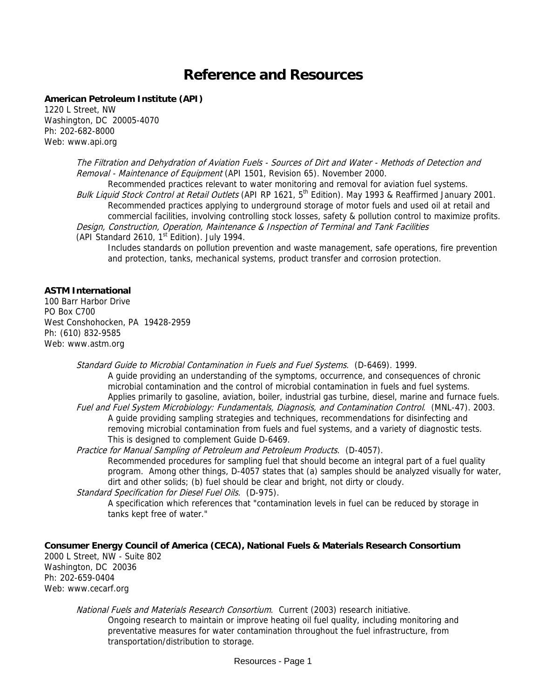### **Reference and Resources**

#### **American Petroleum Institute (API)**

1220 L Street, NW Washington, DC 20005-4070 Ph: 202-682-8000 Web: www.api.org

> The Filtration and Dehydration of Aviation Fuels - Sources of Dirt and Water - Methods of Detection and Removal - Maintenance of Equipment (API 1501, Revision 65). November 2000.

Recommended practices relevant to water monitoring and removal for aviation fuel systems. Bulk Liquid Stock Control at Retail Outlets (API RP 1621, 5<sup>th</sup> Edition). May 1993 & Reaffirmed January 2001. Recommended practices applying to underground storage of motor fuels and used oil at retail and commercial facilities, involving controlling stock losses, safety & pollution control to maximize profits. Design, Construction, Operation, Maintenance & Inspection of Terminal and Tank Facilities (API Standard 2610,  $1<sup>st</sup>$  Edition). July 1994.

Includes standards on pollution prevention and waste management, safe operations, fire prevention and protection, tanks, mechanical systems, product transfer and corrosion protection.

#### **ASTM International**

100 Barr Harbor Drive PO Box C700 West Conshohocken, PA 19428-2959 Ph: (610) 832-9585 Web: www.astm.org

> Standard Guide to Microbial Contamination in Fuels and Fuel Systems. (D-6469). 1999. A guide providing an understanding of the symptoms, occurrence, and consequences of chronic microbial contamination and the control of microbial contamination in fuels and fuel systems. Applies primarily to gasoline, aviation, boiler, industrial gas turbine, diesel, marine and furnace fuels. Fuel and Fuel System Microbiology: Fundamentals, Diagnosis, and Contamination Control. (MNL-47). 2003. A guide providing sampling strategies and techniques, recommendations for disinfecting and

removing microbial contamination from fuels and fuel systems, and a variety of diagnostic tests. This is designed to complement Guide D-6469.

Practice for Manual Sampling of Petroleum and Petroleum Products. (D-4057). Recommended procedures for sampling fuel that should become an integral part of a fuel quality program. Among other things, D-4057 states that (a) samples should be analyzed visually for water, dirt and other solids; (b) fuel should be clear and bright, not dirty or cloudy.

Standard Specification for Diesel Fuel Oils. (D-975).

A specification which references that "contamination levels in fuel can be reduced by storage in tanks kept free of water."

**Consumer Energy Council of America (CECA), National Fuels & Materials Research Consortium**  2000 L Street, NW - Suite 802 Washington, DC 20036 Ph: 202-659-0404 Web: www.cecarf.org

National Fuels and Materials Research Consortium. Current (2003) research initiative. Ongoing research to maintain or improve heating oil fuel quality, including monitoring and preventative measures for water contamination throughout the fuel infrastructure, from transportation/distribution to storage.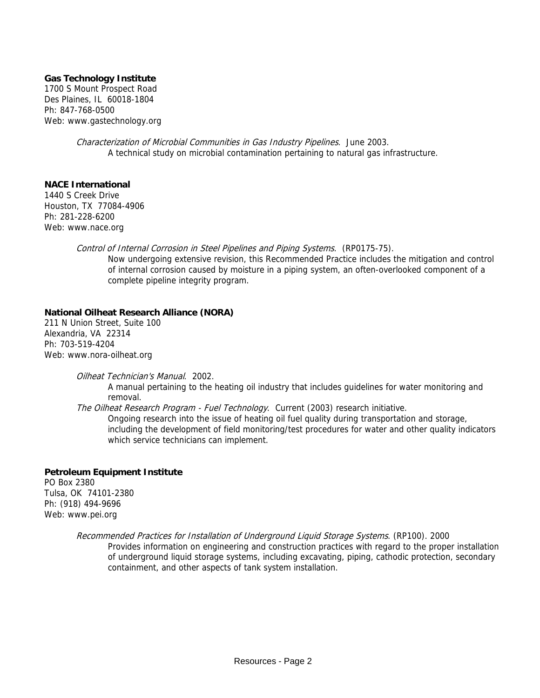#### **Gas Technology Institute**

1700 S Mount Prospect Road Des Plaines, IL 60018-1804 Ph: 847-768-0500 Web: www.gastechnology.org

> Characterization of Microbial Communities in Gas Industry Pipelines. June 2003. A technical study on microbial contamination pertaining to natural gas infrastructure.

**NACE International** 

1440 S Creek Drive Houston, TX 77084-4906 Ph: 281-228-6200 Web: www.nace.org

> Control of Internal Corrosion in Steel Pipelines and Piping Systems. (RP0175-75). Now undergoing extensive revision, this Recommended Practice includes the mitigation and control of internal corrosion caused by moisture in a piping system, an often-overlooked component of a complete pipeline integrity program.

#### **National Oilheat Research Alliance (NORA)**

211 N Union Street, Suite 100 Alexandria, VA 22314 Ph: 703-519-4204 Web: www.nora-oilheat.org

Oilheat Technician's Manual. 2002.

A manual pertaining to the heating oil industry that includes guidelines for water monitoring and removal.

The Oilheat Research Program - Fuel Technology. Current (2003) research initiative.

Ongoing research into the issue of heating oil fuel quality during transportation and storage, including the development of field monitoring/test procedures for water and other quality indicators which service technicians can implement.

#### **Petroleum Equipment Institute**

PO Box 2380 Tulsa, OK 74101-2380 Ph: (918) 494-9696 Web: www.pei.org

Recommended Practices for Installation of Underground Liquid Storage Systems. (RP100). 2000

Provides information on engineering and construction practices with regard to the proper installation of underground liquid storage systems, including excavating, piping, cathodic protection, secondary containment, and other aspects of tank system installation.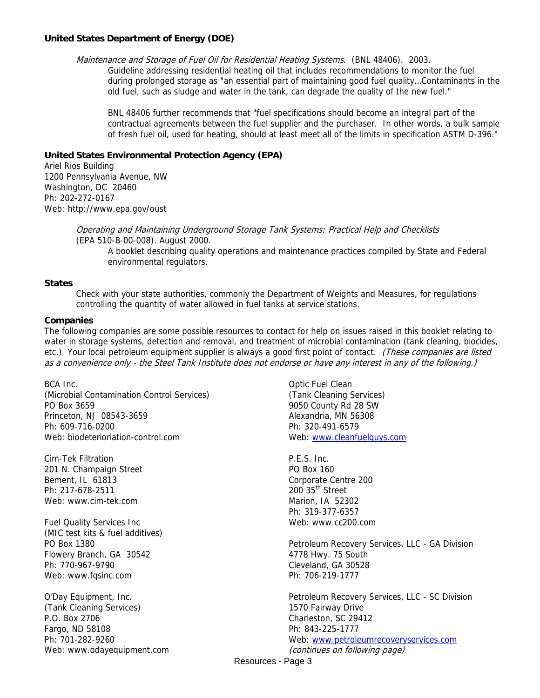#### **United States Department of Energy (DOE)**

Maintenance and Storage of Fuel Oil for Residential Heating Systems. (BNL 48406). 2003.

Guideline addressing residential heating oil that includes recommendations to monitor the fuel during prolonged storage as "an essential part of maintaining good fuel quality…Contaminants in the old fuel, such as sludge and water in the tank, can degrade the quality of the new fuel."

BNL 48406 further recommends that "fuel specifications should become an integral part of the contractual agreements between the fuel supplier and the purchaser. In other words, a bulk sample of fresh fuel oil, used for heating, should at least meet all of the limits in specification ASTM D-396."

#### **United States Environmental Protection Agency (EPA)**

Ariel Rios Building 1200 Pennsylvania Avenue, NW Washington, DC 20460 Ph: 202-272-0167 Web: http://www.epa.gov/oust

> Operating and Maintaining Underground Storage Tank Systems: Practical Help and Checklists (EPA 510-B-00-008). August 2000.

A booklet describing quality operations and maintenance practices compiled by State and Federal environmental regulators.

#### **States**

Check with your state authorities, commonly the Department of Weights and Measures, for regulations controlling the quantity of water allowed in fuel tanks at service stations.

#### **Companies**

The following companies are some possible resources to contact for help on issues raised in this booklet relating to water in storage systems, detection and removal, and treatment of microbial contamination (tank cleaning, biocides, etc.) Your local petroleum equipment supplier is always a good first point of contact. (These companies are listed as a convenience only - the Steel Tank Institute does not endorse or have any interest in any of the following.)

BCA Inc. (Microbial Contamination Control Services) PO Box 3659 Princeton, NJ 08543-3659 Ph: 609-716-0200 Web: biodeterioriation-control.com

Cim-Tek Filtration 201 N. Champaign Street Bement, IL 61813 Ph: 217-678-2511 Web: www.cim-tek.com

Fuel Quality Services Inc (MIC test kits & fuel additives) PO Box 1380 Flowery Branch, GA 30542 Ph: 770-967-9790 Web: www.fqsinc.com

O'Day Equipment, Inc. (Tank Cleaning Services) P.O. Box 2706 Fargo, ND 58108 Ph: 701-282-9260 Web: www.odayequipment.com

Optic Fuel Clean (Tank Cleaning Services) 9050 County Rd 28 SW Alexandria, MN 56308 Ph: 320-491-6579 Web: www.cleanfuelguys.com

P.E.S. Inc. PO Box 160 Corporate Centre 200  $200$   $35<sup>th</sup>$  Street Marion, IA 52302 Ph: 319-377-6357 Web: www.cc200.com

Petroleum Recovery Services, LLC - GA Division 4778 Hwy. 75 South Cleveland, GA 30528 Ph: 706-219-1777

Petroleum Recovery Services, LLC - SC Division 1570 Fairway Drive Charleston, SC 29412 Ph: 843-225-1777 Web: www.petroleumrecoveryservices.com (continues on following page)

Resources - Page 3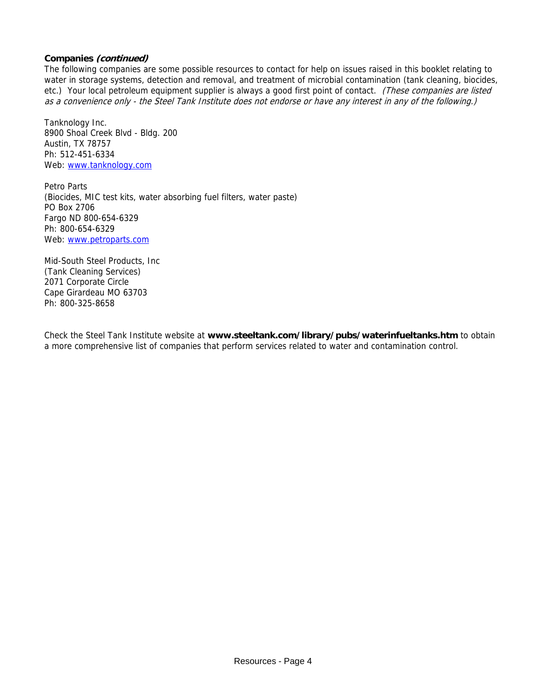#### **Companies (continued)**

The following companies are some possible resources to contact for help on issues raised in this booklet relating to water in storage systems, detection and removal, and treatment of microbial contamination (tank cleaning, biocides, etc.) Your local petroleum equipment supplier is always a good first point of contact. (These companies are listed as a convenience only - the Steel Tank Institute does not endorse or have any interest in any of the following.)

Tanknology Inc. 8900 Shoal Creek Blvd - Bldg. 200 Austin, TX 78757 Ph: 512-451-6334 Web: www.tanknology.com

Petro Parts (Biocides, MIC test kits, water absorbing fuel filters, water paste) PO Box 2706 Fargo ND 800-654-6329 Ph: 800-654-6329 Web: www.petroparts.com

Mid-South Steel Products, Inc (Tank Cleaning Services) 2071 Corporate Circle Cape Girardeau MO 63703 Ph: 800-325-8658

Check the Steel Tank Institute website at **www.steeltank.com/library/pubs/waterinfueltanks.htm** to obtain a more comprehensive list of companies that perform services related to water and contamination control.